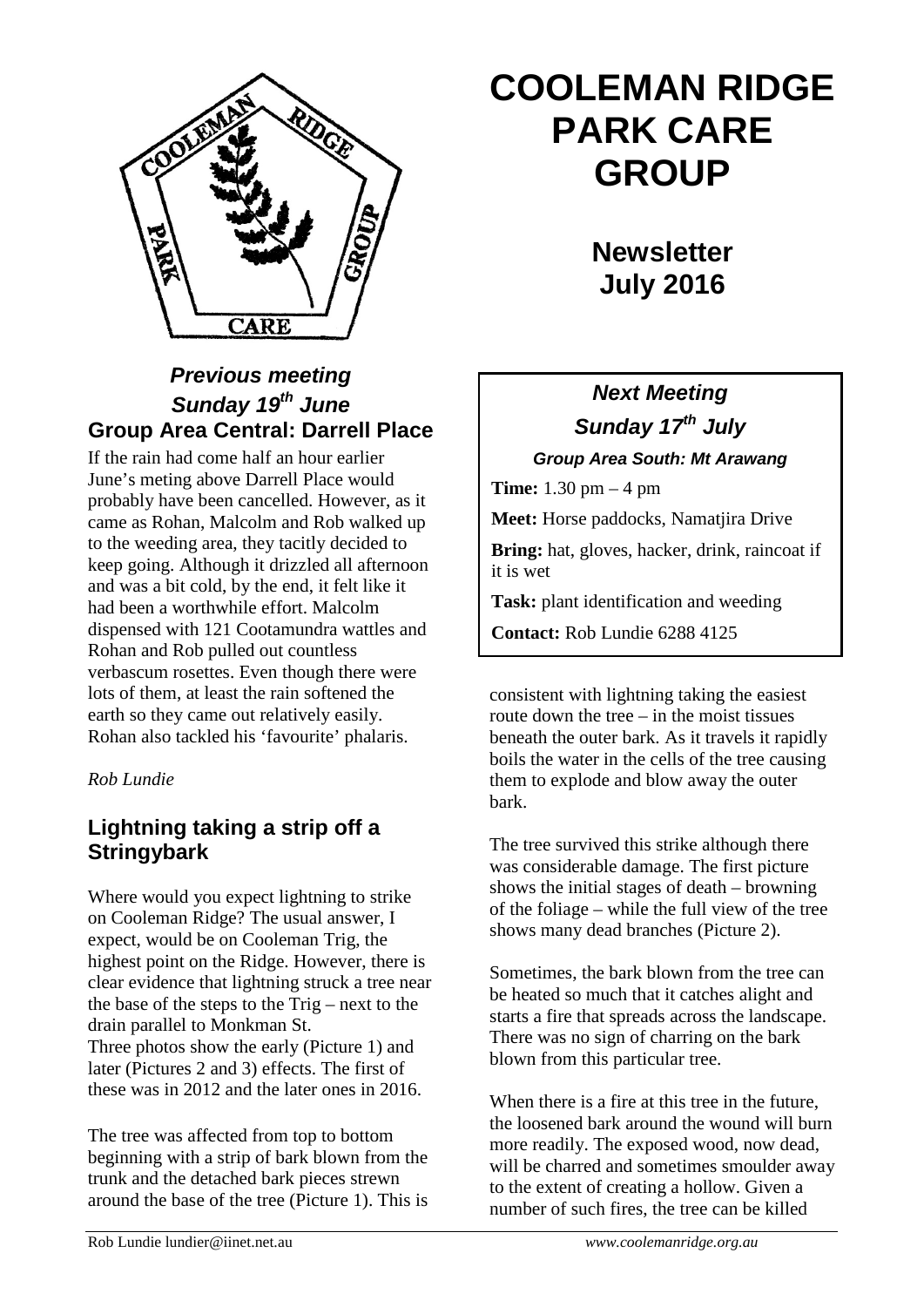

## *Previous meeting Sunday 19th June* **Group Area Central: Darrell Place**

If the rain had come half an hour earlier June's meting above Darrell Place would probably have been cancelled. However, as it came as Rohan, Malcolm and Rob walked up to the weeding area, they tacitly decided to keep going. Although it drizzled all afternoon and was a bit cold, by the end, it felt like it had been a worthwhile effort. Malcolm dispensed with 121 Cootamundra wattles and Rohan and Rob pulled out countless verbascum rosettes. Even though there were lots of them, at least the rain softened the earth so they came out relatively easily. Rohan also tackled his 'favourite' phalaris.

### *Rob Lundie*

## **Lightning taking a strip off a Stringybark**

Where would you expect lightning to strike on Cooleman Ridge? The usual answer, I expect, would be on Cooleman Trig, the highest point on the Ridge. However, there is clear evidence that lightning struck a tree near the base of the steps to the Trig – next to the drain parallel to Monkman St. Three photos show the early (Picture 1) and later (Pictures 2 and 3) effects. The first of these was in 2012 and the later ones in 2016.

The tree was affected from top to bottom beginning with a strip of bark blown from the trunk and the detached bark pieces strewn around the base of the tree (Picture 1). This is

# **COOLEMAN RIDGE PARK CARE GROUP**

**Newsletter July 2016** 

## *Next Meeting Sunday 17th July*

*Group Area South: Mt Arawang*

**Time:** 1.30 pm – 4 pm

**Meet:** Horse paddocks, Namatjira Drive

**Bring:** hat, gloves, hacker, drink, raincoat if it is wet

**Task:** plant identification and weeding

**Contact:** Rob Lundie 6288 4125

consistent with lightning taking the easiest route down the tree  $-$  in the moist tissues beneath the outer bark. As it travels it rapidly boils the water in the cells of the tree causing them to explode and blow away the outer bark.

The tree survived this strike although there was considerable damage. The first picture shows the initial stages of death – browning of the foliage – while the full view of the tree shows many dead branches (Picture 2).

Sometimes, the bark blown from the tree can be heated so much that it catches alight and starts a fire that spreads across the landscape. There was no sign of charring on the bark blown from this particular tree.

When there is a fire at this tree in the future, the loosened bark around the wound will burn more readily. The exposed wood, now dead, will be charred and sometimes smoulder away to the extent of creating a hollow. Given a number of such fires, the tree can be killed